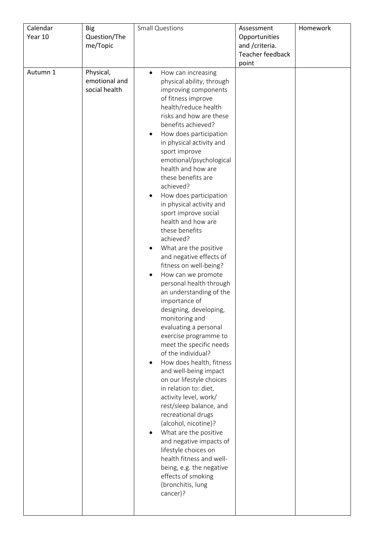| Calendar<br>Year 10 | <b>Big</b><br>Question/The<br>me/Topic      | <b>Small Questions</b>                                                                                                                                                                                                                                                                                                                                                                                                                                                                                                                                                                                                                                                                                                                                                                                                                                                                                                                                                                                                                                                                                                                                                                                                               | Assessment<br>Opportunities<br>and / criteria.<br><b>Teacher feedback</b><br>point | Homework |
|---------------------|---------------------------------------------|--------------------------------------------------------------------------------------------------------------------------------------------------------------------------------------------------------------------------------------------------------------------------------------------------------------------------------------------------------------------------------------------------------------------------------------------------------------------------------------------------------------------------------------------------------------------------------------------------------------------------------------------------------------------------------------------------------------------------------------------------------------------------------------------------------------------------------------------------------------------------------------------------------------------------------------------------------------------------------------------------------------------------------------------------------------------------------------------------------------------------------------------------------------------------------------------------------------------------------------|------------------------------------------------------------------------------------|----------|
| Autumn 1            | Physical,<br>emotional and<br>social health | How can increasing<br>$\bullet$<br>physical ability, through<br>improving components<br>of fitness improve<br>health/reduce health<br>risks and how are these<br>benefits achieved?<br>How does participation<br>in physical activity and<br>sport improve<br>emotional/psychological<br>health and how are<br>these benefits are<br>achieved?<br>How does participation<br>in physical activity and<br>sport improve social<br>health and how are<br>these benefits<br>achieved?<br>What are the positive<br>$\bullet$<br>and negative effects of<br>fitness on well-being?<br>How can we promote<br>personal health through<br>an understanding of the<br>importance of<br>designing, developing,<br>monitoring and<br>evaluating a personal<br>exercise programme to<br>meet the specific needs<br>of the individual?<br>How does health, fitness<br>٠<br>and well-being impact<br>on our lifestyle choices<br>in relation to: diet,<br>activity level, work/<br>rest/sleep balance, and<br>recreational drugs<br>(alcohol, nicotine)?<br>What are the positive<br>and negative impacts of<br>lifestyle choices on<br>health fitness and well-<br>being, e.g. the negative<br>effects of smoking<br>(bronchitis, lung<br>cancer)? |                                                                                    |          |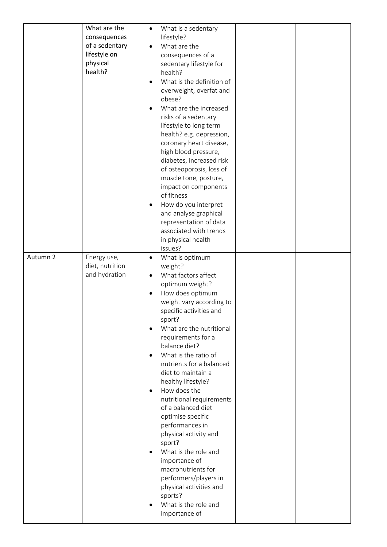|          | What are the    | What is a sedentary<br>$\bullet$                 |
|----------|-----------------|--------------------------------------------------|
|          | consequences    | lifestyle?                                       |
|          | of a sedentary  | What are the                                     |
|          | lifestyle on    | consequences of a                                |
|          | physical        | sedentary lifestyle for                          |
|          | health?         | health?                                          |
|          |                 | What is the definition of                        |
|          |                 | overweight, overfat and                          |
|          |                 | obese?                                           |
|          |                 | What are the increased                           |
|          |                 | risks of a sedentary                             |
|          |                 | lifestyle to long term                           |
|          |                 | health? e.g. depression,                         |
|          |                 | coronary heart disease,                          |
|          |                 | high blood pressure,                             |
|          |                 | diabetes, increased risk                         |
|          |                 | of osteoporosis, loss of                         |
|          |                 | muscle tone, posture,                            |
|          |                 | impact on components                             |
|          |                 | of fitness                                       |
|          |                 | How do you interpret                             |
|          |                 | and analyse graphical                            |
|          |                 | representation of data<br>associated with trends |
|          |                 | in physical health                               |
|          |                 | issues?                                          |
| Autumn 2 | Energy use,     | What is optimum<br>$\bullet$                     |
|          | diet, nutrition | weight?                                          |
|          | and hydration   | What factors affect                              |
|          |                 | optimum weight?                                  |
|          |                 | How does optimum<br>٠                            |
|          |                 | weight vary according to                         |
|          |                 | specific activities and                          |
|          |                 | sport?                                           |
|          |                 | What are the nutritional                         |
|          |                 | requirements for a                               |
|          |                 | balance diet?                                    |
|          |                 | What is the ratio of                             |
|          |                 |                                                  |
|          |                 | nutrients for a balanced                         |
|          |                 | diet to maintain a                               |
|          |                 | healthy lifestyle?                               |
|          |                 | How does the<br>$\bullet$                        |
|          |                 | nutritional requirements                         |
|          |                 | of a balanced diet                               |
|          |                 | optimise specific                                |
|          |                 | performances in                                  |
|          |                 | physical activity and                            |
|          |                 | sport?                                           |
|          |                 | What is the role and                             |
|          |                 | importance of<br>macronutrients for              |
|          |                 |                                                  |
|          |                 | performers/players in<br>physical activities and |
|          |                 | sports?                                          |
|          |                 | What is the role and                             |
|          |                 | importance of                                    |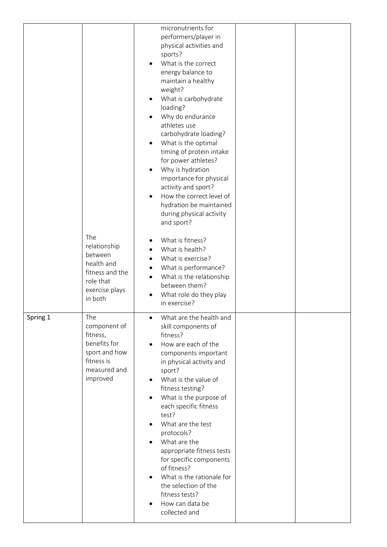|          |                                                                                                            | micronutrients for<br>performers/player in<br>physical activities and<br>sports?<br>What is the correct<br>energy balance to<br>maintain a healthy<br>weight?<br>What is carbohydrate<br>loading?<br>Why do endurance<br>athletes use<br>carbohydrate loading?<br>What is the optimal<br>٠<br>timing of protein intake<br>for power athletes?<br>Why is hydration<br>importance for physical<br>activity and sport?<br>How the correct level of<br>hydration be maintained                                                  |  |
|----------|------------------------------------------------------------------------------------------------------------|-----------------------------------------------------------------------------------------------------------------------------------------------------------------------------------------------------------------------------------------------------------------------------------------------------------------------------------------------------------------------------------------------------------------------------------------------------------------------------------------------------------------------------|--|
|          | The<br>relationship<br>between<br>health and<br>fitness and the<br>role that<br>exercise plays<br>in both  | during physical activity<br>and sport?<br>What is fitness?<br>What is health?<br>$\bullet$<br>What is exercise?<br>What is performance?<br>What is the relationship<br>between them?<br>What role do they play<br>in exercise?                                                                                                                                                                                                                                                                                              |  |
| Spring 1 | The<br>component of<br>fitness,<br>benefits for<br>sport and how<br>fitness is<br>measured and<br>improved | What are the health and<br>skill components of<br>fitness?<br>How are each of the<br>$\bullet$<br>components important<br>in physical activity and<br>sport?<br>What is the value of<br>٠<br>fitness testing?<br>What is the purpose of<br>each specific fitness<br>test?<br>What are the test<br>protocols?<br>What are the<br>appropriate fitness tests<br>for specific components<br>of fitness?<br>What is the rationale for<br>$\bullet$<br>the selection of the<br>fitness tests?<br>How can data be<br>collected and |  |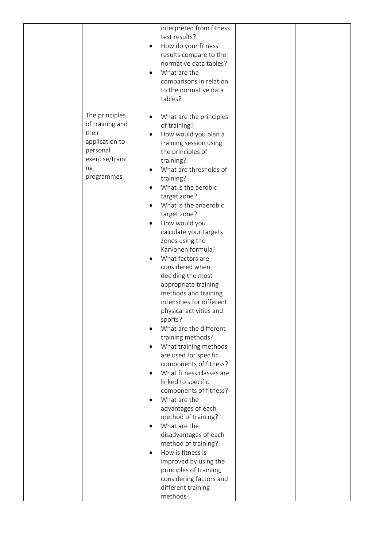|                                                                                                                 | interpreted from fitness<br>test results?<br>How do your fitness<br>$\bullet$<br>results compare to the<br>normative data tables?<br>What are the<br>comparisons in relation<br>to the normative data<br>tables?                                                                                                                                                                                                                                                                                                                                                                                                                                                                                                                                                                                                                                                                                                                                                                                                 |  |
|-----------------------------------------------------------------------------------------------------------------|------------------------------------------------------------------------------------------------------------------------------------------------------------------------------------------------------------------------------------------------------------------------------------------------------------------------------------------------------------------------------------------------------------------------------------------------------------------------------------------------------------------------------------------------------------------------------------------------------------------------------------------------------------------------------------------------------------------------------------------------------------------------------------------------------------------------------------------------------------------------------------------------------------------------------------------------------------------------------------------------------------------|--|
| The principles<br>of training and<br>their<br>application to<br>personal<br>exercise/traini<br>ng<br>programmes | What are the principles<br>of training?<br>How would you plan a<br>٠<br>training session using<br>the principles of<br>training?<br>What are thresholds of<br>$\bullet$<br>training?<br>What is the aerobic<br>target zone?<br>What is the anaerobic<br>target zone?<br>How would you<br>calculate your targets<br>zones using the<br>Karvonen formula?<br>What factors are<br>considered when<br>deciding the most<br>appropriate training<br>methods and training<br>intensities for different<br>physical activities and<br>sports?<br>What are the different<br>training methods?<br>What training methods<br>are used for specific<br>components of fitness?<br>What fitness classes are<br>linked to specific<br>components of fitness?<br>What are the<br>advantages of each<br>method of training?<br>What are the<br>disadvantages of each<br>method of training?<br>How is fitness is<br>improved by using the<br>principles of training,<br>considering factors and<br>different training<br>methods? |  |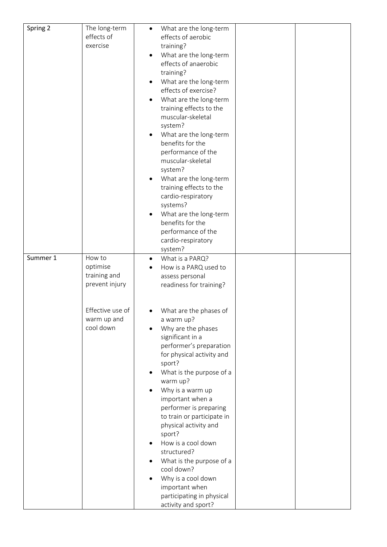| Spring 2 | The long-term    | What are the long-term<br>$\bullet$ |
|----------|------------------|-------------------------------------|
|          | effects of       | effects of aerobic                  |
|          | exercise         | training?                           |
|          |                  | What are the long-term              |
|          |                  | effects of anaerobic                |
|          |                  | training?                           |
|          |                  |                                     |
|          |                  | What are the long-term              |
|          |                  | effects of exercise?                |
|          |                  | What are the long-term<br>$\bullet$ |
|          |                  | training effects to the             |
|          |                  | muscular-skeletal                   |
|          |                  | system?                             |
|          |                  | What are the long-term<br>$\bullet$ |
|          |                  | benefits for the                    |
|          |                  | performance of the                  |
|          |                  | muscular-skeletal                   |
|          |                  | system?                             |
|          |                  | What are the long-term              |
|          |                  | training effects to the             |
|          |                  | cardio-respiratory                  |
|          |                  | systems?                            |
|          |                  | What are the long-term              |
|          |                  | benefits for the                    |
|          |                  | performance of the                  |
|          |                  | cardio-respiratory                  |
|          |                  | system?                             |
| Summer 1 | How to           | What is a PARQ?<br>$\bullet$        |
|          | optimise         | How is a PARQ used to<br>$\bullet$  |
|          | training and     | assess personal                     |
|          | prevent injury   | readiness for training?             |
|          |                  |                                     |
|          |                  |                                     |
|          | Effective use of | What are the phases of              |
|          | warm up and      | a warm up?                          |
|          | cool down        | Why are the phases                  |
|          |                  | significant in a                    |
|          |                  | performer's preparation             |
|          |                  | for physical activity and           |
|          |                  | sport?                              |
|          |                  | What is the purpose of a            |
|          |                  | warm up?                            |
|          |                  | Why is a warm up                    |
|          |                  | important when a                    |
|          |                  | performer is preparing              |
|          |                  | to train or participate in          |
|          |                  | physical activity and               |
|          |                  | sport?                              |
|          |                  | How is a cool down                  |
|          |                  | structured?                         |
|          |                  | What is the purpose of a            |
|          |                  | cool down?                          |
|          |                  | Why is a cool down                  |
|          |                  | important when                      |
|          |                  | participating in physical           |
|          |                  | activity and sport?                 |